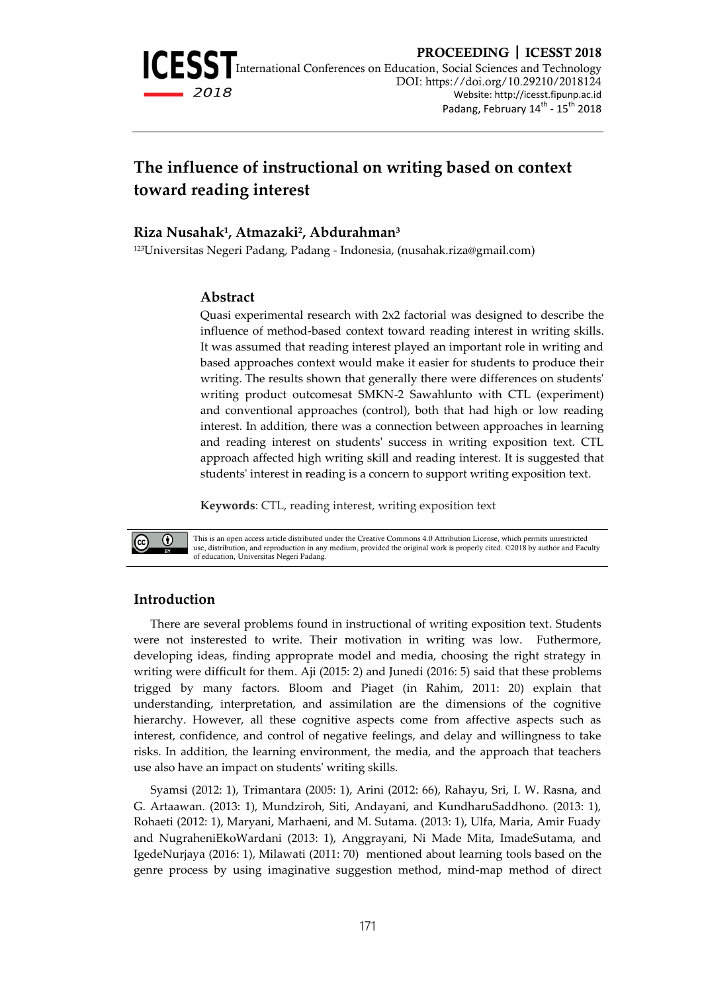

# **The influence of instructional on writing based on context toward reading interest**

## **Riza Nusahak<sup>1</sup> , Atmazaki<sup>2</sup> , Abdurahman<sup>3</sup>**

<sup>123</sup>Universitas Negeri Padang, Padang - Indonesia, (nusahak.riza@gmail.com)

#### **Abstract**

Quasi experimental research with 2x2 factorial was designed to describe the influence of method-based context toward reading interest in writing skills. It was assumed that reading interest played an important role in writing and based approaches context would make it easier for students to produce their writing. The results shown that generally there were differences on students' writing product outcomesat SMKN-2 Sawahlunto with CTL (experiment) and conventional approaches (control), both that had high or low reading interest. In addition, there was a connection between approaches in learning and reading interest on students' success in writing exposition text. CTL approach affected high writing skill and reading interest. It is suggested that students' interest in reading is a concern to support writing exposition text.

#### **Keywords**: CTL, reading interest, writing exposition text



This is an open access article distributed under the Creative Commons 4.0 Attribution License, which permits unrestricted use, distribution, and reproduction in any medium, provided the original work is properly cited. ©2018 by author and Faculty of education, Universitas Negeri Padang.

#### **Introduction**

There are several problems found in instructional of writing exposition text. Students were not insterested to write. Their motivation in writing was low. Futhermore, developing ideas, finding approprate model and media, choosing the right strategy in writing were difficult for them. Aji (2015: 2) and Junedi (2016: 5) said that these problems trigged by many factors. Bloom and Piaget (in Rahim, 2011: 20) explain that understanding, interpretation, and assimilation are the dimensions of the cognitive hierarchy. However, all these cognitive aspects come from affective aspects such as interest, confidence, and control of negative feelings, and delay and willingness to take risks. In addition, the learning environment, the media, and the approach that teachers use also have an impact on students' writing skills.

Syamsi (2012: 1), Trimantara (2005: 1), Arini (2012: 66), Rahayu, Sri, I. W. Rasna, and G. Artaawan. (2013: 1), Mundziroh, Siti, Andayani, and KundharuSaddhono. (2013: 1), Rohaeti (2012: 1), Maryani, Marhaeni, and M. Sutama. (2013: 1), Ulfa, Maria, Amir Fuady and NugraheniEkoWardani (2013: 1), Anggrayani, Ni Made Mita, ImadeSutama, and IgedeNurjaya (2016: 1), Milawati (2011: 70) mentioned about learning tools based on the genre process by using imaginative suggestion method, mind-map method of direct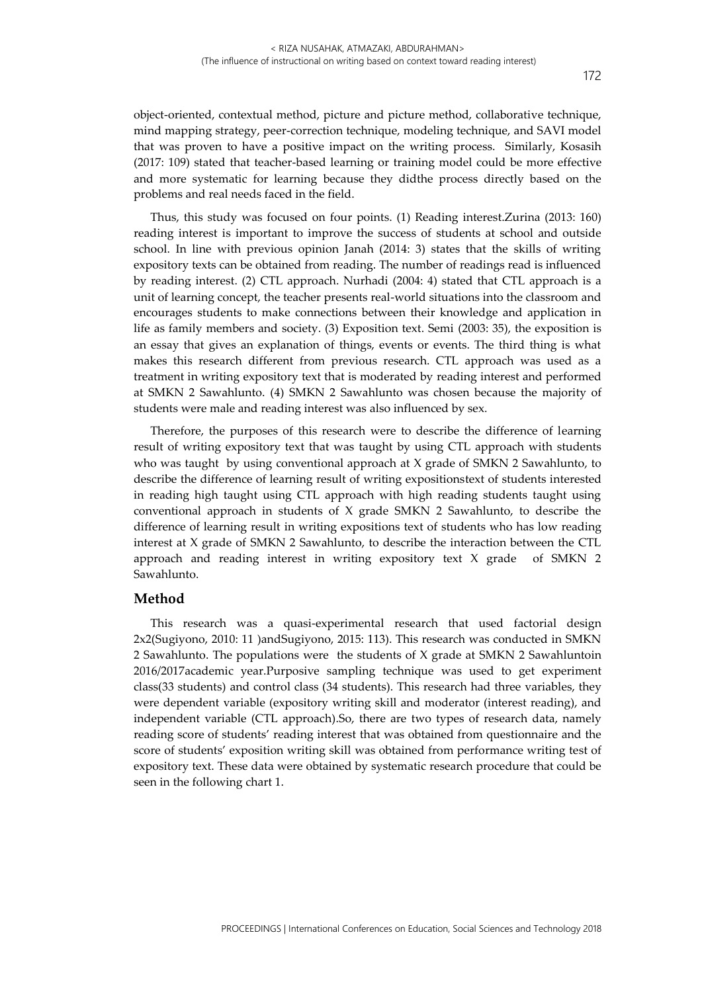object-oriented, contextual method, picture and picture method, collaborative technique, mind mapping strategy, peer-correction technique, modeling technique, and SAVI model that was proven to have a positive impact on the writing process. Similarly, Kosasih (2017: 109) stated that teacher-based learning or training model could be more effective and more systematic for learning because they didthe process directly based on the problems and real needs faced in the field.

Thus, this study was focused on four points. (1) Reading interest.Zurina (2013: 160) reading interest is important to improve the success of students at school and outside school. In line with previous opinion Janah (2014: 3) states that the skills of writing expository texts can be obtained from reading. The number of readings read is influenced by reading interest. (2) CTL approach. Nurhadi (2004: 4) stated that CTL approach is a unit of learning concept, the teacher presents real-world situations into the classroom and encourages students to make connections between their knowledge and application in life as family members and society. (3) Exposition text. Semi (2003: 35), the exposition is an essay that gives an explanation of things, events or events. The third thing is what makes this research different from previous research. CTL approach was used as a treatment in writing expository text that is moderated by reading interest and performed at SMKN 2 Sawahlunto. (4) SMKN 2 Sawahlunto was chosen because the majority of students were male and reading interest was also influenced by sex.

Therefore, the purposes of this research were to describe the difference of learning result of writing expository text that was taught by using CTL approach with students who was taught by using conventional approach at X grade of SMKN 2 Sawahlunto, to describe the difference of learning result of writing expositionstext of students interested in reading high taught using CTL approach with high reading students taught using conventional approach in students of X grade SMKN 2 Sawahlunto, to describe the difference of learning result in writing expositions text of students who has low reading interest at X grade of SMKN 2 Sawahlunto, to describe the interaction between the CTL approach and reading interest in writing expository text X grade of SMKN 2 Sawahlunto.

#### **Method**

This research was a quasi-experimental research that used factorial design 2x2(Sugiyono, 2010: 11 )andSugiyono, 2015: 113). This research was conducted in SMKN 2 Sawahlunto. The populations were the students of X grade at SMKN 2 Sawahluntoin 2016/2017academic year.Purposive sampling technique was used to get experiment class(33 students) and control class (34 students). This research had three variables, they were dependent variable (expository writing skill and moderator (interest reading), and independent variable (CTL approach).So, there are two types of research data, namely reading score of students' reading interest that was obtained from questionnaire and the score of students' exposition writing skill was obtained from performance writing test of expository text. These data were obtained by systematic research procedure that could be seen in the following chart 1.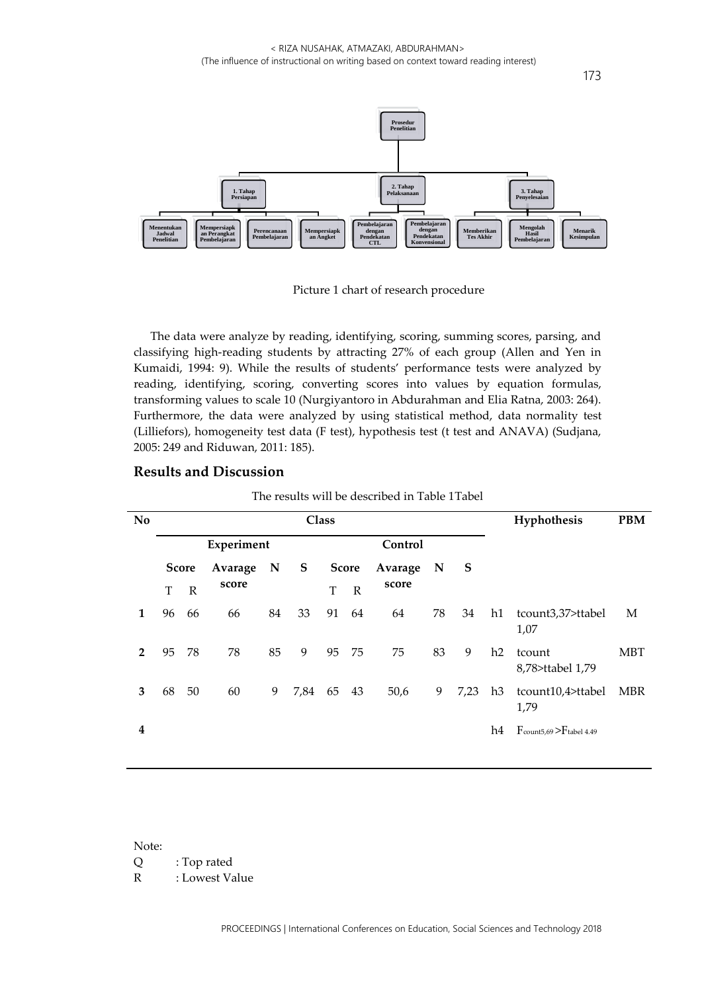

Picture 1 chart of research procedure

The data were analyze by reading, identifying, scoring, summing scores, parsing, and classifying high-reading students by attracting 27% of each group (Allen and Yen in Kumaidi, 1994: 9). While the results of students' performance tests were analyzed by reading, identifying, scoring, converting scores into values by equation formulas, transforming values to scale 10 (Nurgiyantoro in Abdurahman and Elia Ratna, 2003: 264). Furthermore, the data were analyzed by using statistical method, data normality test (Lilliefors), homogeneity test data (F test), hypothesis test (t test and ANAVA) (Sudjana, 2005: 249 and Riduwan, 2011: 185).

| No             | <b>Class</b> |              |         |             |      |              |              |         |             |      | Hyphothesis |                                                   | <b>PBM</b> |
|----------------|--------------|--------------|---------|-------------|------|--------------|--------------|---------|-------------|------|-------------|---------------------------------------------------|------------|
|                | Experiment   |              |         |             |      | Control      |              |         |             |      |             |                                                   |            |
|                | <b>Score</b> |              | Avarage | $\mathbf N$ | S    | <b>Score</b> |              | Avarage | $\mathbf N$ | S    |             |                                                   |            |
|                | T            | $\mathbb{R}$ | score   |             |      | T            | $\mathbb{R}$ | score   |             |      |             |                                                   |            |
| 1              | 96           | 66           | 66      | 84          | 33   | 91           | 64           | 64      | 78          | 34   | h1          | tcount3,37>ttabel<br>1,07                         | M          |
| $\overline{2}$ | 95           | 78           | 78      | 85          | 9    | 95           | 75           | 75      | 83          | 9    | h2          | tcount<br>8,78>ttabel 1,79                        | <b>MBT</b> |
| 3              | 68           | 50           | 60      | 9           | 7,84 | 65           | 43           | 50,6    | 9           | 7,23 | h3          | tcount10,4>ttabel<br>1,79                         | <b>MBR</b> |
| 4              |              |              |         |             |      |              |              |         |             |      | h4          | $F_{\text{count5,69}}$ > $F_{\text{table1 4.49}}$ |            |

#### **Results and Discussion**

The results will be described in Table 1Tabel

Note:

Q : Top rated

R : Lowest Value

PROCEEDINGS | International Conferences on Education, Social Sciences and Technology 2018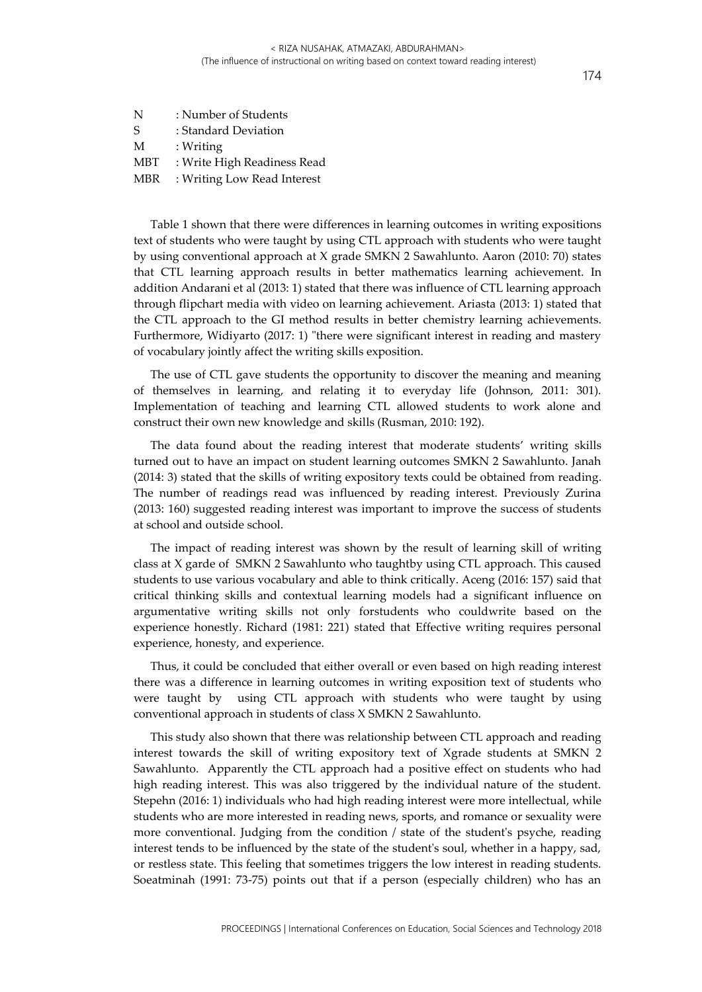| N   | : Number of Students        |
|-----|-----------------------------|
| -S  | : Standard Deviation        |
| M   | : Writing                   |
| MBT | : Write High Readiness Read |
| MBR | : Writing Low Read Interest |

Table 1 shown that there were differences in learning outcomes in writing expositions text of students who were taught by using CTL approach with students who were taught by using conventional approach at X grade SMKN 2 Sawahlunto. Aaron (2010: 70) states that CTL learning approach results in better mathematics learning achievement. In addition Andarani et al (2013: 1) stated that there was influence of CTL learning approach through flipchart media with video on learning achievement. Ariasta (2013: 1) stated that the CTL approach to the GI method results in better chemistry learning achievements. Furthermore, Widiyarto (2017: 1) "there were significant interest in reading and mastery of vocabulary jointly affect the writing skills exposition.

The use of CTL gave students the opportunity to discover the meaning and meaning of themselves in learning, and relating it to everyday life (Johnson, 2011: 301). Implementation of teaching and learning CTL allowed students to work alone and construct their own new knowledge and skills (Rusman, 2010: 192).

The data found about the reading interest that moderate students' writing skills turned out to have an impact on student learning outcomes SMKN 2 Sawahlunto. Janah (2014: 3) stated that the skills of writing expository texts could be obtained from reading. The number of readings read was influenced by reading interest. Previously Zurina (2013: 160) suggested reading interest was important to improve the success of students at school and outside school.

The impact of reading interest was shown by the result of learning skill of writing class at X garde of SMKN 2 Sawahlunto who taughtby using CTL approach. This caused students to use various vocabulary and able to think critically. Aceng (2016: 157) said that critical thinking skills and contextual learning models had a significant influence on argumentative writing skills not only forstudents who couldwrite based on the experience honestly. Richard (1981: 221) stated that Effective writing requires personal experience, honesty, and experience.

Thus, it could be concluded that either overall or even based on high reading interest there was a difference in learning outcomes in writing exposition text of students who were taught by using CTL approach with students who were taught by using conventional approach in students of class X SMKN 2 Sawahlunto.

This study also shown that there was relationship between CTL approach and reading interest towards the skill of writing expository text of Xgrade students at SMKN 2 Sawahlunto. Apparently the CTL approach had a positive effect on students who had high reading interest. This was also triggered by the individual nature of the student. Stepehn (2016: 1) individuals who had high reading interest were more intellectual, while students who are more interested in reading news, sports, and romance or sexuality were more conventional. Judging from the condition / state of the student's psyche, reading interest tends to be influenced by the state of the student's soul, whether in a happy, sad, or restless state. This feeling that sometimes triggers the low interest in reading students. Soeatminah (1991: 73-75) points out that if a person (especially children) who has an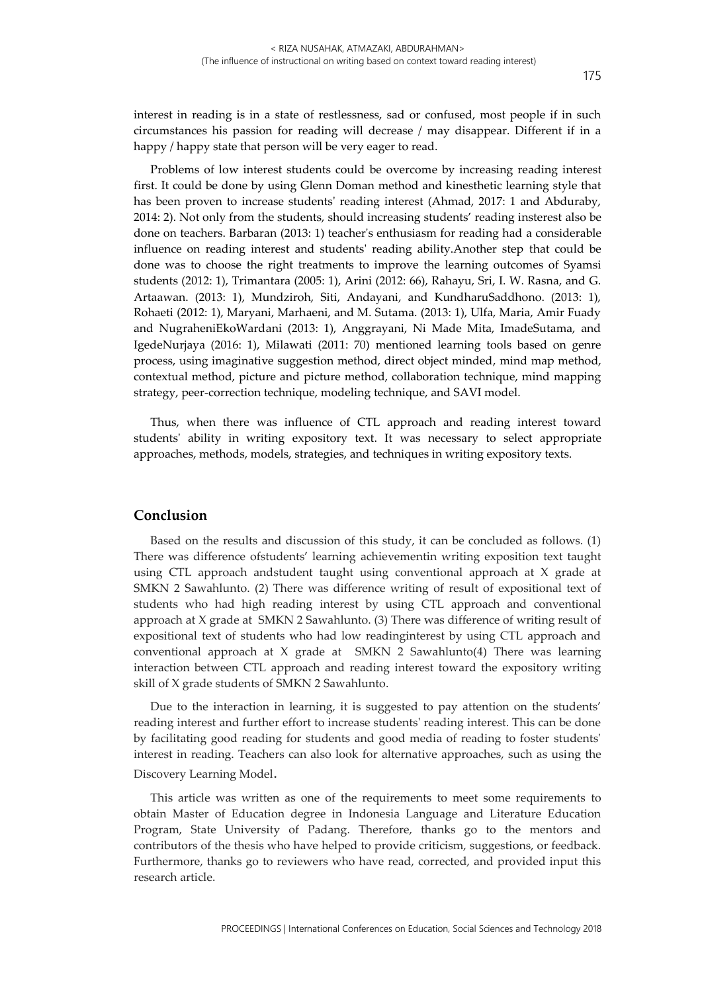interest in reading is in a state of restlessness, sad or confused, most people if in such circumstances his passion for reading will decrease / may disappear. Different if in a happy / happy state that person will be very eager to read.

Problems of low interest students could be overcome by increasing reading interest first. It could be done by using Glenn Doman method and kinesthetic learning style that has been proven to increase students' reading interest (Ahmad, 2017: 1 and Abduraby, 2014: 2). Not only from the students, should increasing students' reading insterest also be done on teachers. Barbaran (2013: 1) teacher's enthusiasm for reading had a considerable influence on reading interest and students' reading ability.Another step that could be done was to choose the right treatments to improve the learning outcomes of Syamsi students (2012: 1), Trimantara (2005: 1), Arini (2012: 66), Rahayu, Sri, I. W. Rasna, and G. Artaawan. (2013: 1), Mundziroh, Siti, Andayani, and KundharuSaddhono. (2013: 1), Rohaeti (2012: 1), Maryani, Marhaeni, and M. Sutama. (2013: 1), Ulfa, Maria, Amir Fuady and NugraheniEkoWardani (2013: 1), Anggrayani, Ni Made Mita, ImadeSutama, and IgedeNurjaya (2016: 1), Milawati (2011: 70) mentioned learning tools based on genre process, using imaginative suggestion method, direct object minded, mind map method, contextual method, picture and picture method, collaboration technique, mind mapping strategy, peer-correction technique, modeling technique, and SAVI model.

Thus, when there was influence of CTL approach and reading interest toward students' ability in writing expository text. It was necessary to select appropriate approaches, methods, models, strategies, and techniques in writing expository texts.

### **Conclusion**

Based on the results and discussion of this study, it can be concluded as follows. (1) There was difference ofstudents' learning achievementin writing exposition text taught using CTL approach andstudent taught using conventional approach at X grade at SMKN 2 Sawahlunto. (2) There was difference writing of result of expositional text of students who had high reading interest by using CTL approach and conventional approach at X grade at SMKN 2 Sawahlunto. (3) There was difference of writing result of expositional text of students who had low readinginterest by using CTL approach and conventional approach at X grade at SMKN 2 Sawahlunto(4) There was learning interaction between CTL approach and reading interest toward the expository writing skill of X grade students of SMKN 2 Sawahlunto.

Due to the interaction in learning, it is suggested to pay attention on the students' reading interest and further effort to increase students' reading interest. This can be done by facilitating good reading for students and good media of reading to foster students' interest in reading. Teachers can also look for alternative approaches, such as using the Discovery Learning Model.

This article was written as one of the requirements to meet some requirements to obtain Master of Education degree in Indonesia Language and Literature Education Program, State University of Padang. Therefore, thanks go to the mentors and contributors of the thesis who have helped to provide criticism, suggestions, or feedback. Furthermore, thanks go to reviewers who have read, corrected, and provided input this research article.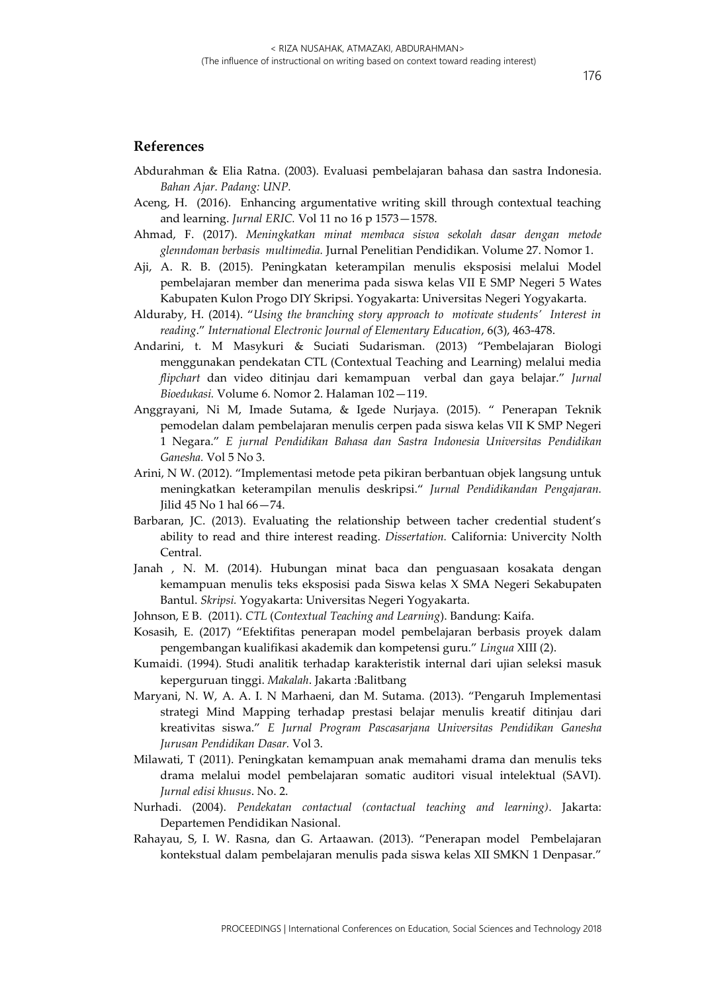### **References**

- Abdurahman & Elia Ratna. (2003). Evaluasi pembelajaran bahasa dan sastra Indonesia. *Bahan Ajar. Padang: UNP.*
- Aceng, H. (2016). Enhancing argumentative writing skill through contextual teaching and learning. *Jurnal ERIC.* Vol 11 no 16 p 1573—1578.
- Ahmad, F. (2017). *Meningkatkan minat membaca siswa sekolah dasar dengan metode glenndoman berbasis multimedia.* Jurnal Penelitian Pendidikan. Volume 27. Nomor 1.
- Aji, A. R. B. (2015). Peningkatan keterampilan menulis eksposisi melalui Model pembelajaran member dan menerima pada siswa kelas VII E SMP Negeri 5 Wates Kabupaten Kulon Progo DIY Skripsi. Yogyakarta: Universitas Negeri Yogyakarta.
- Alduraby, H. (2014). "*Using the branching story approach to motivate students' Interest in reading*." *International Electronic Journal of Elementary Education*, 6(3), 463-478.
- Andarini, t. M Masykuri & Suciati Sudarisman. (2013) "Pembelajaran Biologi menggunakan pendekatan CTL (Contextual Teaching and Learning) melalui media *flipchart* dan video ditinjau dari kemampuan verbal dan gaya belajar." *Jurnal Bioedukasi.* Volume 6. Nomor 2. Halaman 102—119.
- Anggrayani, Ni M, Imade Sutama, & Igede Nurjaya. (2015). " Penerapan Teknik pemodelan dalam pembelajaran menulis cerpen pada siswa kelas VII K SMP Negeri 1 Negara." *E jurnal Pendidikan Bahasa dan Sastra Indonesia Universitas Pendidikan Ganesha.* Vol 5 No 3.
- Arini, N W. (2012). "Implementasi metode peta pikiran berbantuan objek langsung untuk meningkatkan keterampilan menulis deskripsi." *Jurnal Pendidikandan Pengajaran.*  Jilid 45 No 1 hal 66—74.
- Barbaran, JC. (2013). Evaluating the relationship between tacher credential student's ability to read and thire interest reading. *Dissertation.* California: Univercity Nolth Central.
- Janah , N. M. (2014). Hubungan minat baca dan penguasaan kosakata dengan kemampuan menulis teks eksposisi pada Siswa kelas X SMA Negeri Sekabupaten Bantul. *Skripsi.* Yogyakarta: Universitas Negeri Yogyakarta.
- Johnson, E B. (2011). *CTL* (*Contextual Teaching and Learning*). Bandung: Kaifa.
- Kosasih, E. (2017) "Efektifitas penerapan model pembelajaran berbasis proyek dalam pengembangan kualifikasi akademik dan kompetensi guru." *Lingua* XIII (2).
- Kumaidi. (1994). Studi analitik terhadap karakteristik internal dari ujian seleksi masuk keperguruan tinggi. *Makalah*. Jakarta :Balitbang
- Maryani, N. W, A. A. I. N Marhaeni, dan M. Sutama. (2013). "Pengaruh Implementasi strategi Mind Mapping terhadap prestasi belajar menulis kreatif ditinjau dari kreativitas siswa." *E Jurnal Program Pascasarjana Universitas Pendidikan Ganesha Jurusan Pendidikan Dasar.* Vol 3.
- Milawati, T (2011). Peningkatan kemampuan anak memahami drama dan menulis teks drama melalui model pembelajaran somatic auditori visual intelektual (SAVI). *Jurnal edisi khusus*. No. 2.
- Nurhadi. (2004). *Pendekatan contactual (contactual teaching and learning)*. Jakarta: Departemen Pendidikan Nasional.
- Rahayau, S, I. W. Rasna, dan G. Artaawan. (2013). "Penerapan model Pembelajaran kontekstual dalam pembelajaran menulis pada siswa kelas XII SMKN 1 Denpasar."